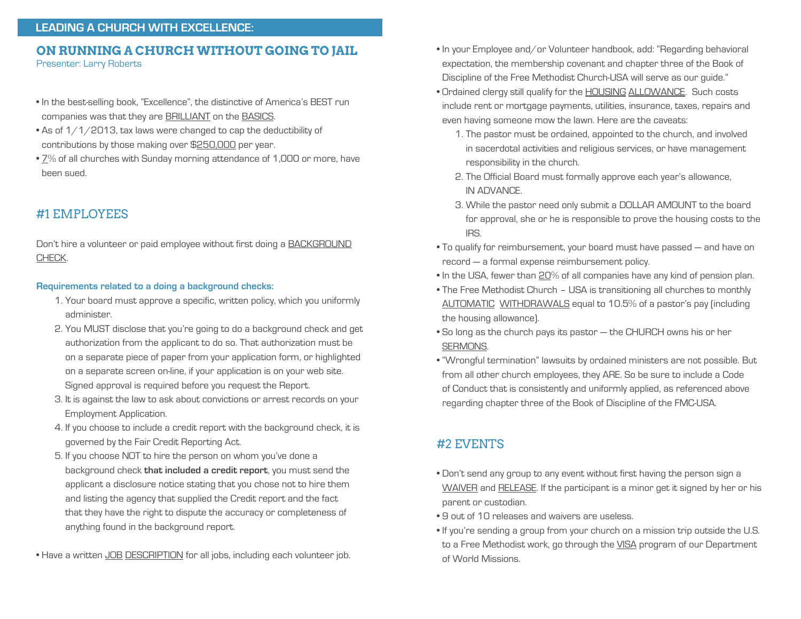# **ON RUNNING A CHURCH WITHOUT GOING TO JAIL**

Presenter: Larry Roberts

- In the best-selling book, "Excellence", the distinctive of America's BEST run companies was that they are BRILLIANT on the BASICS.
- As of  $1/1/2013$ , tax laws were changed to cap the deductibility of contributions by those making over \$250,000 per year.
- 7% of all churches with Sunday morning attendance of 1,000 or more, have been sued.

## #1 EMPLOYEES

Don't hire a volunteer or paid employee without first doing a BACKGROUND CHECK.

#### **Requirements related to a doing a background checks:**

- 1. Your board must approve a specific, written policy, which you uniformly administer.
- 2. You MUST disclose that you're going to do a background check and get authorization from the applicant to do so. That authorization must be on a separate piece of paper from your application form, or highlighted on a separate screen on-line, if your application is on your web site. Signed approval is required before you request the Report.
- 3. It is against the law to ask about convictions or arrest records on your Employment Application.
- 4. If you choose to include a credit report with the background check, it is governed by the Fair Credit Reporting Act.
- 5. If you choose NOT to hire the person on whom you've done a background check **that included a credit report**, you must send the applicant a disclosure notice stating that you chose not to hire them and listing the agency that supplied the Credit report and the fact that they have the right to dispute the accuracy or completeness of anything found in the background report.
- Have a written JOB DESCRIPTION for all jobs, including each volunteer job.
- In your Employee and/or Volunteer handbook, add: "Regarding behavioral expectation, the membership covenant and chapter three of the Book of Discipline of the Free Methodist Church-USA will serve as our guide."
- Ordained clergy still qualify for the **HOUSING ALLOWANCE**. Such costs include rent or mortgage payments, utilities, insurance, taxes, repairs and even having someone mow the lawn. Here are the caveats:
	- 1. The pastor must be ordained, appointed to the church, and involved in sacerdotal activities and religious services, or have management responsibility in the church.
	- 2. The Official Board must formally approve each year's allowance, IN ADVANCE.
	- 3. While the pastor need only submit a DOLLAR AMOUNT to the board for approval, she or he is responsible to prove the housing costs to the IRS.
- To qualify for reimbursement, your board must have passed and have on record — a formal expense reimbursement policy.
- In the USA, fewer than 20% of all companies have any kind of pension plan.
- The Free Methodist Church USA is transitioning all churches to monthly AUTOMATIC WITHDRAWALS equal to 10.5% of a pastor's pay (including the housing allowance).
- So long as the church pays its pastor the CHURCH owns his or her SERMONS.
- "Wrongful termination" lawsuits by ordained ministers are not possible. But from all other church employees, they ARE. So be sure to include a Code of Conduct that is consistently and uniformly applied, as referenced above regarding chapter three of the Book of Discipline of the FMC-USA.

### #2 EVENTS

- Don't send any group to any event without first having the person sign a WAIVER and RELEASE. If the participant is a minor get it signed by her or his parent or custodian.
- 9 out of 10 releases and waivers are useless.
- If you're sending a group from your church on a mission trip outside the U.S. to a Free Methodist work, go through the VISA program of our Department of World Missions.